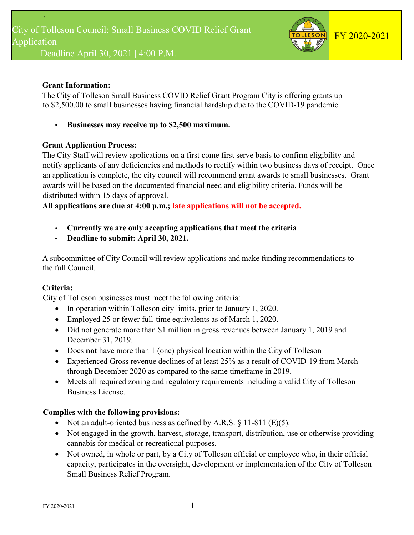

# **Grant Information:**

The City of Tolleson Small Business COVID Relief Grant Program City is offering grants up to \$2,500.00 to small businesses having financial hardship due to the COVID-19 pandemic.

• **Businesses may receive up to \$2,500 maximum.**

# **Grant Application Process:**

The City Staff will review applications on a first come first serve basis to confirm eligibility and notify applicants of any deficiencies and methods to rectify within two business days of receipt. Once an application is complete, the city council will recommend grant awards to small businesses. Grant awards will be based on the documented financial need and eligibility criteria. Funds will be distributed within 15 days of approval.

**All applications are due at 4:00 p.m.; late applications will not be accepted.**

- **Currently we are only accepting applications that meet the criteria**
- **Deadline to submit: April 30, 2021.**

A subcommittee of City Council will review applications and make funding recommendations to the full Council.

# **Criteria:**

City of Tolleson businesses must meet the following criteria:

- In operation within Tolleson city limits, prior to January 1, 2020.
- Employed 25 or fewer full-time equivalents as of March 1, 2020.
- Did not generate more than \$1 million in gross revenues between January 1, 2019 and December 31, 2019.
- Does **not** have more than 1 (one) physical location within the City of Tolleson
- Experienced Gross revenue declines of at least 25% as a result of COVID-19 from March through December 2020 as compared to the same timeframe in 2019.
- Meets all required zoning and regulatory requirements including a valid City of Tolleson Business License.

# **Complies with the following provisions:**

- Not an adult-oriented business as defined by A.R.S.  $\S$  11-811 (E)(5).
- Not engaged in the growth, harvest, storage, transport, distribution, use or otherwise providing cannabis for medical or recreational purposes.
- Not owned, in whole or part, by a City of Tolleson official or employee who, in their official capacity, participates in the oversight, development or implementation of the City of Tolleson Small Business Relief Program.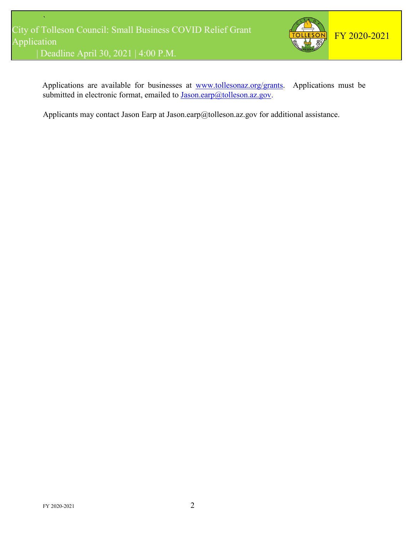

Applications are available for businesses at [www.tollesonaz.org/g](http://www.tollesonaz.org/)rants. Applications must be submitted in electronic format, emailed to Jason.earp@tolleson.az.gov.

Applicants may contact Jason Earp at Jason.earp@tolleson.az.gov for additional assistance.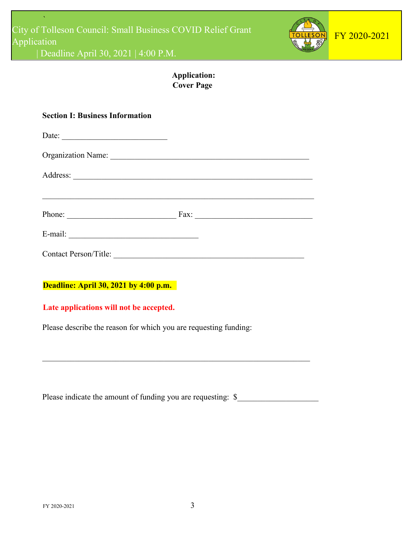

# **Application: Cover Page**

| <b>Section I: Business Information</b>                                           |  |  |
|----------------------------------------------------------------------------------|--|--|
| Date:                                                                            |  |  |
| Organization Name:                                                               |  |  |
|                                                                                  |  |  |
| ,我们也不能在这里的时候,我们也不能在这里的时候,我们也不能会在这里的时候,我们也不能会在这里的时候,我们也不能会在这里的时候,我们也不能会在这里的时候,我们也 |  |  |
| Phone: $\qquad \qquad \qquad$ Fax: $\qquad \qquad$                               |  |  |
|                                                                                  |  |  |
|                                                                                  |  |  |
|                                                                                  |  |  |
| <b>Deadline: April 30, 2021 by 4:00 p.m.</b>                                     |  |  |
| Late applications will not be accepted.                                          |  |  |
| Please describe the reason for which you are requesting funding:                 |  |  |

| Please indicate the amount of funding you are requesting: \$ |  |
|--------------------------------------------------------------|--|
|--------------------------------------------------------------|--|

 $\mathcal{L}_\text{G}$  , and the contribution of the contribution of the contribution of the contribution of the contribution of the contribution of the contribution of the contribution of the contribution of the contribution of t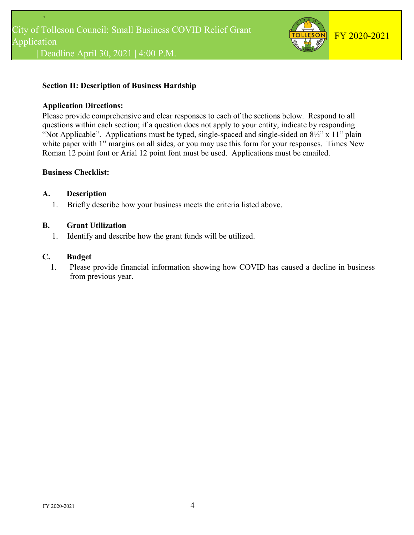

# **Section II: Description of Business Hardship**

#### **Application Directions:**

Please provide comprehensive and clear responses to each of the sections below. Respond to all questions within each section; if a question does not apply to your entity, indicate by responding "Not Applicable". Applications must be typed, single-spaced and single-sided on 8½" x 11" plain white paper with 1" margins on all sides, or you may use this form for your responses. Times New Roman 12 point font or Arial 12 point font must be used. Applications must be emailed.

## **Business Checklist:**

#### **A. Description**

1. Briefly describe how your business meets the criteria listed above.

#### **B. Grant Utilization**

1. Identify and describe how the grant funds will be utilized.

# **C. Budget**

1. Please provide financial information showing how COVID has caused a decline in business from previous year.